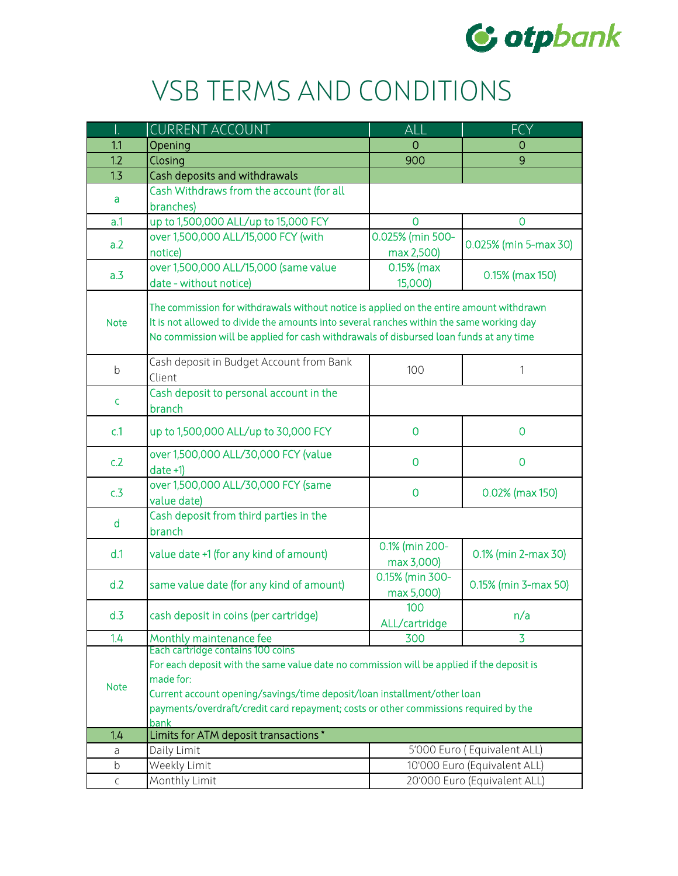

## VSB TERMS AND CONDITIONS

|             | <b>CURRENT ACCOUNT</b>                                                                                                                                                                                                                                                                                                  | ALL                            | <b>FCY</b>                   |  |
|-------------|-------------------------------------------------------------------------------------------------------------------------------------------------------------------------------------------------------------------------------------------------------------------------------------------------------------------------|--------------------------------|------------------------------|--|
| 1.1         | Opening                                                                                                                                                                                                                                                                                                                 | O                              | O                            |  |
| 1.2         | Closing                                                                                                                                                                                                                                                                                                                 | 900                            | 9                            |  |
| 1.3         | Cash deposits and withdrawals                                                                                                                                                                                                                                                                                           |                                |                              |  |
| a           | Cash Withdraws from the account (for all<br>branches)                                                                                                                                                                                                                                                                   |                                |                              |  |
| a.1         | up to 1,500,000 ALL/up to 15,000 FCY                                                                                                                                                                                                                                                                                    | $\Omega$                       | 0                            |  |
| a.2         | over 1,500,000 ALL/15,000 FCY (with<br>notice)                                                                                                                                                                                                                                                                          | 0.025% (min 500-<br>max 2,500) | 0.025% (min 5-max 30)        |  |
| a.3         | over 1,500,000 ALL/15,000 (same value<br>date - without notice)                                                                                                                                                                                                                                                         | $0.15%$ (max<br>15,000)        | 0.15% (max 150)              |  |
| <b>Note</b> | The commission for withdrawals without notice is applied on the entire amount withdrawn<br>It is not allowed to divide the amounts into several ranches within the same working day<br>No commission will be applied for cash withdrawals of disbursed loan funds at any time                                           |                                |                              |  |
| $\mathsf b$ | Cash deposit in Budget Account from Bank<br>Client                                                                                                                                                                                                                                                                      | 100                            | 1                            |  |
| c           | Cash deposit to personal account in the<br>branch                                                                                                                                                                                                                                                                       |                                |                              |  |
| c.1         | up to 1,500,000 ALL/up to 30,000 FCY                                                                                                                                                                                                                                                                                    | 0                              | 0                            |  |
| c.2         | over 1,500,000 ALL/30,000 FCY (value<br>$date +1)$                                                                                                                                                                                                                                                                      | $\mathbf 0$                    | 0                            |  |
| c.3         | over 1,500,000 ALL/30,000 FCY (same<br>value date)                                                                                                                                                                                                                                                                      | 0                              | 0.02% (max 150)              |  |
| d           | Cash deposit from third parties in the<br>branch                                                                                                                                                                                                                                                                        |                                |                              |  |
| d.1         | value date +1 (for any kind of amount)                                                                                                                                                                                                                                                                                  | 0.1% (min 200-<br>max 3,000)   | 0.1% (min 2-max 30)          |  |
| d.2         | same value date (for any kind of amount)                                                                                                                                                                                                                                                                                | 0.15% (min 300-<br>max 5,000)  | 0.15% (min 3-max 50)         |  |
| d.3         | cash deposit in coins (per cartridge)                                                                                                                                                                                                                                                                                   | 100<br>ALL/cartridge           | n/a                          |  |
| 1.4         | Monthly maintenance fee                                                                                                                                                                                                                                                                                                 | 300                            | 3                            |  |
| <b>Note</b> | Each cartridge contains 100 coins<br>For each deposit with the same value date no commission will be applied if the deposit is<br>made for:<br>Current account opening/savings/time deposit/loan installment/other loan<br>payments/overdraft/credit card repayment; costs or other commissions required by the<br>bank |                                |                              |  |
| 1.4         | Limits for ATM deposit transactions *                                                                                                                                                                                                                                                                                   |                                |                              |  |
| a           | Daily Limit                                                                                                                                                                                                                                                                                                             |                                | 5'000 Euro (Equivalent ALL)  |  |
| b           | Weekly Limit                                                                                                                                                                                                                                                                                                            |                                | 10'000 Euro (Equivalent ALL) |  |
| $\mathsf C$ | Monthly Limit                                                                                                                                                                                                                                                                                                           |                                | 20'000 Euro (Equivalent ALL) |  |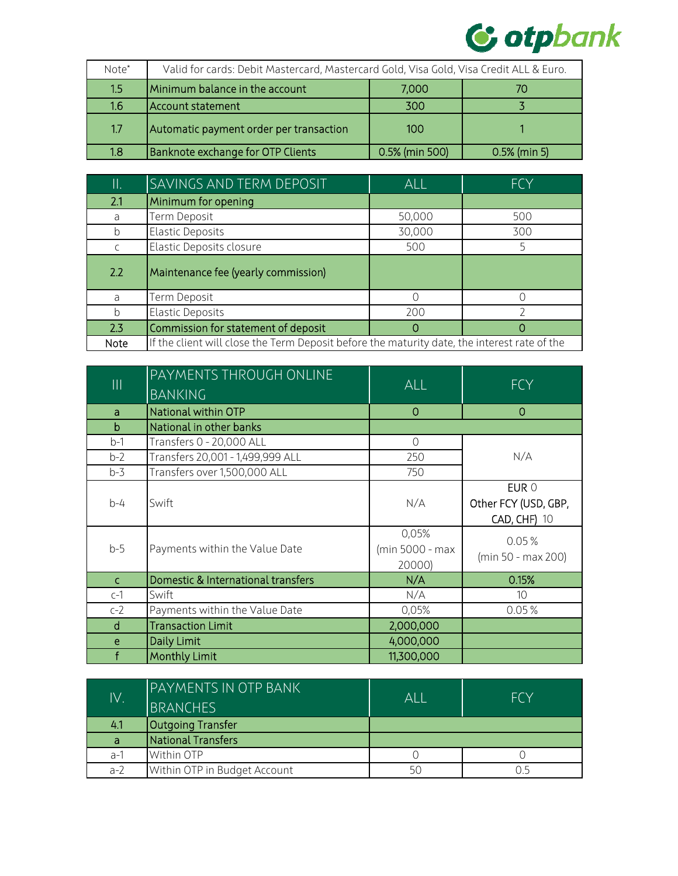

| Note*            | Valid for cards: Debit Mastercard, Mastercard Gold, Visa Gold, Visa Credit ALL & Euro. |                |                |
|------------------|----------------------------------------------------------------------------------------|----------------|----------------|
| 1.5 <sub>l</sub> | Minimum balance in the account                                                         | 7,000          | 70             |
| 1.6              | Account statement                                                                      | 300            |                |
| 1.7              | Automatic payment order per transaction                                                | 100            |                |
| 1.8              | Banknote exchange for OTP Clients                                                      | 0.5% (min 500) | $0.5%$ (min 5) |

| Π.  | <b>SAVINGS AND TERM DEPOSIT</b>     | <b>ALL</b> | <b>FCY</b> |
|-----|-------------------------------------|------------|------------|
| 2.1 | Minimum for opening                 |            |            |
| a   | Term Deposit                        | 50,000     | 500        |
| b   | <b>Elastic Deposits</b>             | 30,000     | 300        |
|     | Elastic Deposits closure            | 500        |            |
| 2.2 | Maintenance fee (yearly commission) |            |            |
| a   | Term Deposit                        |            |            |
| b   | <b>Elastic Deposits</b>             | 200        |            |
| 2.3 | Commission for statement of deposit | O          | O          |
|     |                                     |            |            |

| $\begin{array}{c} \hline \end{array}$ | PAYMENTS THROUGH ONLINE<br><b>BANKING</b> | <b>ALL</b>                         | <b>FCY</b>                                           |
|---------------------------------------|-------------------------------------------|------------------------------------|------------------------------------------------------|
| a                                     | National within OTP                       | 0                                  | 0                                                    |
| b                                     | National in other banks                   |                                    |                                                      |
| $b-1$                                 | Transfers 0 - 20,000 ALL                  | $\mathbf 0$                        |                                                      |
| $b-2$                                 | Transfers 20,001 - 1,499,999 ALL          | 250                                | N/A                                                  |
| $b-3$                                 | Transfers over 1,500,000 ALL              | 750                                |                                                      |
| $b-4$                                 | Swift                                     | N/A                                | EUR 0<br>Other FCY (USD, GBP,<br><b>CAD, CHF) 10</b> |
| $b-5$                                 | Payments within the Value Date            | 0,05%<br>(min 5000 - max<br>20000) | 0.05%<br>(min 50 - max 200)                          |
| $\mathsf{C}$                          | Domestic & International transfers        | N/A                                | 0.15%                                                |
| $c-1$                                 | Swift                                     | N/A                                | 10                                                   |
| $c-2$                                 | Payments within the Value Date            | 0,05%                              | 0.05%                                                |
| <sub>d</sub>                          | <b>Transaction Limit</b>                  | 2,000,000                          |                                                      |
| e                                     | Daily Limit                               | 4,000,000                          |                                                      |
| f                                     | <b>Monthly Limit</b>                      | 11,300,000                         |                                                      |

| IV.   | <b>PAYMENTS IN OTP BANK</b><br><b>BRANCHES</b> | $\mathsf{Al}$ | FCY |
|-------|------------------------------------------------|---------------|-----|
| 4.1   | <b>Outgoing Transfer</b>                       |               |     |
| a     | National Transfers                             |               |     |
| $a-1$ | Within OTP                                     |               |     |
| $a-2$ | Within OTP in Budget Account                   | 50            |     |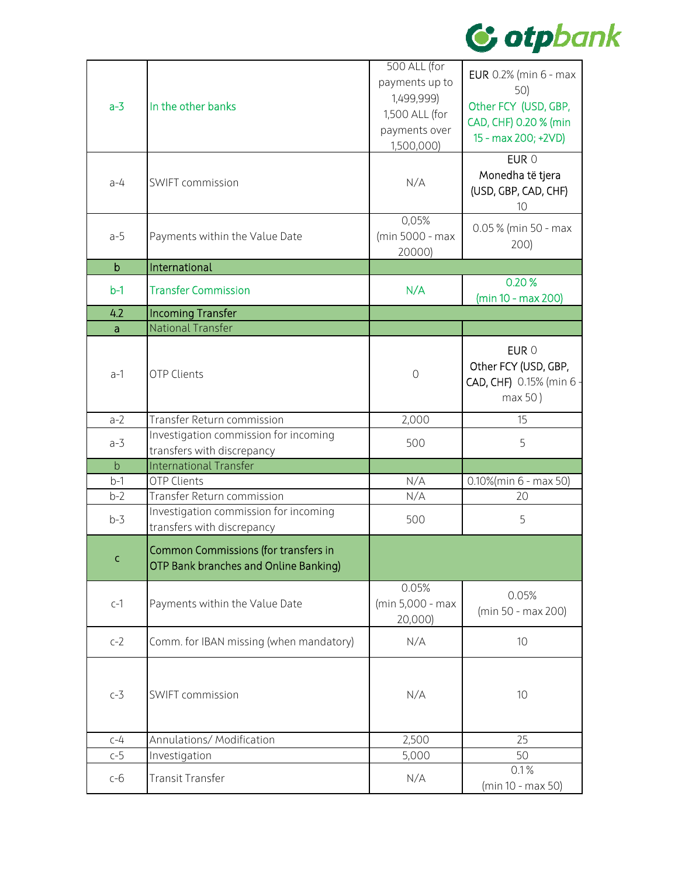

| $a-3$       | In the other banks                                                            | 500 ALL (for<br>payments up to<br>1,499,999)<br>1,500 ALL (for<br>payments over<br>1,500,000) | <b>EUR</b> 0.2% (min 6 - max<br>50)<br>Other FCY (USD, GBP,<br>CAD, CHF) 0.20 % (min<br>15 - max 200; +2VD) |
|-------------|-------------------------------------------------------------------------------|-----------------------------------------------------------------------------------------------|-------------------------------------------------------------------------------------------------------------|
| $a-4$       | SWIFT commission                                                              | N/A                                                                                           | EUR 0<br>Monedha të tjera<br>(USD, GBP, CAD, CHF)<br>10                                                     |
| $a-5$       | Payments within the Value Date                                                | 0,05%<br>(min 5000 - max<br>20000)                                                            | 0.05 % (min 50 - max<br>200)                                                                                |
| $\mathbf b$ | International                                                                 |                                                                                               |                                                                                                             |
| $b-1$       | <b>Transfer Commission</b>                                                    | N/A                                                                                           | 0.20%<br>(min 10 - max 200)                                                                                 |
| 4.2         | <b>Incoming Transfer</b>                                                      |                                                                                               |                                                                                                             |
| a           | National Transfer                                                             |                                                                                               |                                                                                                             |
| $a-1$       | <b>OTP Clients</b>                                                            | $\circ$                                                                                       | EUR 0<br>Other FCY (USD, GBP,<br>CAD, CHF) 0.15% (min 6<br>max 50)                                          |
| $a-2$       | Transfer Return commission                                                    | 2,000                                                                                         | 15                                                                                                          |
| $a-3$       | Investigation commission for incoming<br>transfers with discrepancy           | 500                                                                                           | 5                                                                                                           |
| $\mathsf b$ | <b>International Transfer</b>                                                 |                                                                                               |                                                                                                             |
| $b-1$       | <b>OTP Clients</b>                                                            | N/A                                                                                           | 0.10%(min 6 - max 50)                                                                                       |
| $b-2$       | Transfer Return commission                                                    | N/A                                                                                           | 20                                                                                                          |
| $b-3$       | Investigation commission for incoming<br>transfers with discrepancy           | 500                                                                                           | 5                                                                                                           |
| C           | Common Commissions (for transfers in<br>OTP Bank branches and Online Banking) |                                                                                               |                                                                                                             |
| $c-1$       | Payments within the Value Date                                                | 0.05%<br>(min 5,000 - max<br>20,000)                                                          | 0.05%<br>(min 50 - max 200)                                                                                 |
| $c-2$       | Comm. for IBAN missing (when mandatory)                                       | N/A                                                                                           | 10                                                                                                          |
| $c-3$       | SWIFT commission                                                              | N/A                                                                                           | 10                                                                                                          |
| $C-4$       | Annulations/ Modification                                                     | 2,500                                                                                         | 25                                                                                                          |
| $c-5$       | Investigation                                                                 | 5,000                                                                                         | 50                                                                                                          |
| $c-6$       | <b>Transit Transfer</b>                                                       | N/A                                                                                           | 0.1%<br>(min 10 - max 50)                                                                                   |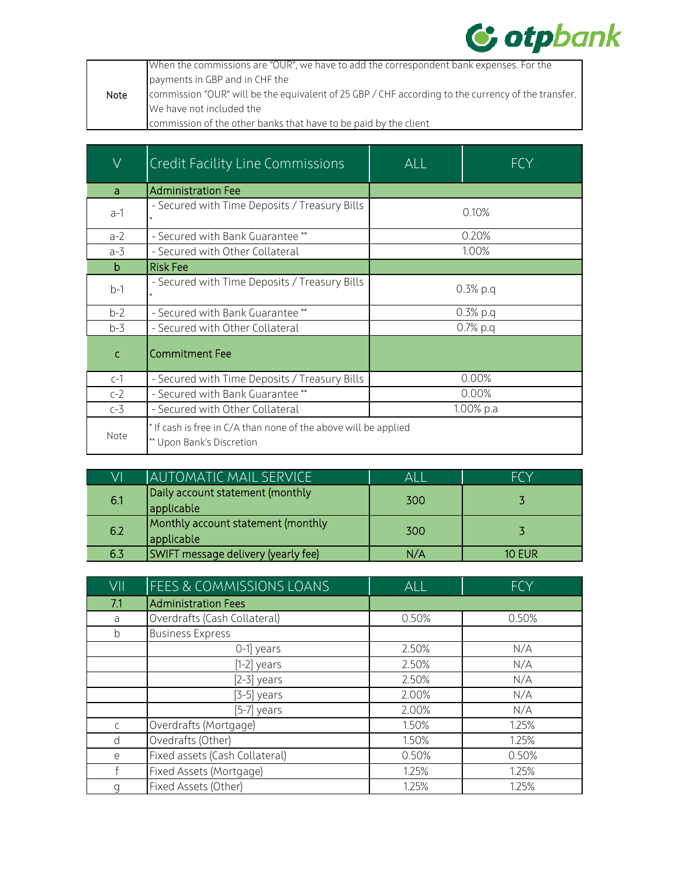

|      | When the commissions are "OUR", we have to add the correspondent bank expenses. For the            |
|------|----------------------------------------------------------------------------------------------------|
|      | payments in GBP and in CHF the                                                                     |
| Note | commission "OUR" will be the equivalent of 25 GBP / CHF according to the currency of the transfer. |
|      | We have not included the                                                                           |
|      | commission of the other banks that have to be paid by the client                                   |

| $\overline{\vee}$ | <b>Credit Facility Line Commissions</b>                                                      | <b>ALL</b> | FCY   |
|-------------------|----------------------------------------------------------------------------------------------|------------|-------|
| a                 | <b>Administration Fee</b>                                                                    |            |       |
| $a-1$             | - Secured with Time Deposits / Treasury Bills                                                | 0.10%      |       |
| $a-2$             | - Secured with Bank Guarantee **                                                             |            | 0.20% |
| $a-3$             | - Secured with Other Collateral                                                              | 1.00%      |       |
| b                 | <b>Risk Fee</b>                                                                              |            |       |
| $b-1$             | - Secured with Time Deposits / Treasury Bills                                                | $0.3%$ p.q |       |
| $b-2$             | - Secured with Bank Guarantee**                                                              | $0.3%$ p.q |       |
| $b-3$             | - Secured with Other Collateral                                                              | $0.7%$ p.q |       |
| $\mathsf{C}$      | <b>Commitment Fee</b>                                                                        |            |       |
| $c-1$             | - Secured with Time Deposits / Treasury Bills                                                |            | 0.00% |
| $c-2$             | - Secured with Bank Guarantee **                                                             | 0.00%      |       |
| $c-3$             | - Secured with Other Collateral                                                              | 1.00% p.a  |       |
| Note              | * If cash is free in C/A than none of the above will be applied<br>** Upon Bank's Discretion |            |       |

| VI  | AUTOMATIC MAIL SERVICE                           | Al I | FCY <sup></sup> |
|-----|--------------------------------------------------|------|-----------------|
| 6.1 | Daily account statement (monthly<br>applicable   | 300  |                 |
| 6.2 | Monthly account statement (monthly<br>applicable | 300  |                 |
| 6.3 | SWIFT message delivery (yearly fee)              | N/A  | <b>10 EUR</b>   |

| VII          | FEES & COMMISSIONS LOANS       | ALL   | <b>FCY</b> |
|--------------|--------------------------------|-------|------------|
| 7.1          | <b>Administration Fees</b>     |       |            |
| a            | Overdrafts (Cash Collateral)   | 0.50% | 0.50%      |
| b            | <b>Business Express</b>        |       |            |
|              | 0-1 years                      | 2.50% | N/A        |
|              | $[1-2]$ years                  | 2.50% | N/A        |
|              | $[2-3]$ years                  | 2.50% | N/A        |
|              | $[3-5]$ years                  | 2.00% | N/A        |
|              | [5-7] years                    | 2.00% | N/A        |
| $\mathsf{C}$ | Overdrafts (Mortgage)          | 1.50% | 1.25%      |
| d            | Ovedrafts (Other)              | 1.50% | 1.25%      |
| e            | Fixed assets (Cash Collateral) | 0.50% | 0.50%      |
| f            | Fixed Assets (Mortgage)        | 1.25% | 1.25%      |
| q            | Fixed Assets (Other)           | 1.25% | 1.25%      |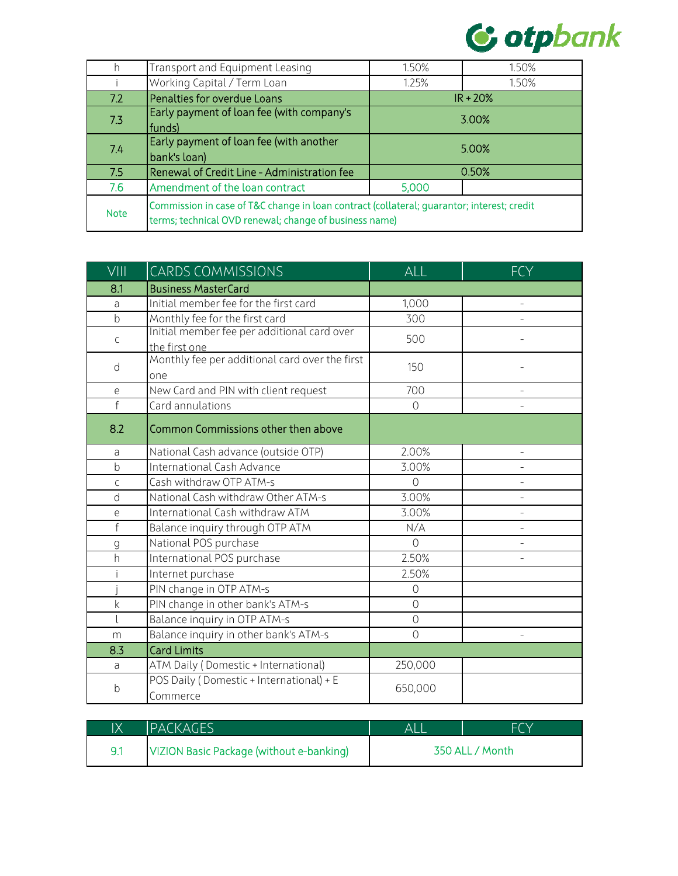

| h           | Transport and Equipment Leasing                                                                                                                      | 1.50%      | 1.50% |
|-------------|------------------------------------------------------------------------------------------------------------------------------------------------------|------------|-------|
|             | Working Capital / Term Loan                                                                                                                          | 1.25%      | 1.50% |
| 7.2         | Penalties for overdue Loans                                                                                                                          | $IR + 20%$ |       |
| 7.3         | Early payment of loan fee (with company's<br>funds)                                                                                                  | 3.00%      |       |
| 7.4         | Early payment of loan fee (with another<br>bank's loan)                                                                                              | 5.00%      |       |
| 7.5         | Renewal of Credit Line - Administration fee                                                                                                          | 0.50%      |       |
| 7.6         | Amendment of the loan contract                                                                                                                       | 5,000      |       |
| <b>Note</b> | Commission in case of T&C change in loan contract (collateral; quarantor; interest; credit<br>terms; technical OVD renewal; change of business name) |            |       |

| VIII         | <b>CARDS COMMISSIONS</b>                                     | ALL            | <b>FCY</b>               |
|--------------|--------------------------------------------------------------|----------------|--------------------------|
| 8.1          | <b>Business MasterCard</b>                                   |                |                          |
| a            | Initial member fee for the first card                        | 1,000          |                          |
| $\mathsf b$  | Monthly fee for the first card                               | 300            |                          |
| $\mathsf{C}$ | Initial member fee per additional card over<br>the first one | 500            |                          |
| d            | Monthly fee per additional card over the first<br>one        | 150            |                          |
| e            | New Card and PIN with client request                         | 700            |                          |
| $\mathsf{f}$ | Card annulations                                             | $\circ$        |                          |
| 8.2          | Common Commissions other then above                          |                |                          |
| a            | National Cash advance (outside OTP)                          | 2.00%          | $\overline{a}$           |
| $\mathsf{b}$ | International Cash Advance                                   | 3.00%          |                          |
| $\mathsf{C}$ | Cash withdraw OTP ATM-s                                      | $\Omega$       |                          |
| d            | National Cash withdraw Other ATM-s                           | 3.00%          |                          |
| e            | International Cash withdraw ATM                              | 3.00%          | $\overline{\phantom{0}}$ |
| $\mathsf f$  | Balance inquiry through OTP ATM                              | N/A            | $\overline{a}$           |
| g            | National POS purchase                                        | $\Omega$       |                          |
| h            | International POS purchase                                   | 2.50%          | $\overline{a}$           |
|              | Internet purchase                                            | 2.50%          |                          |
|              | PIN change in OTP ATM-s                                      | $\mathcal{O}$  |                          |
| $\mathsf k$  | PIN change in other bank's ATM-s                             | $\overline{O}$ |                          |
| $\lfloor$    | Balance inquiry in OTP ATM-s                                 | $\overline{O}$ |                          |
| m            | Balance inquiry in other bank's ATM-s                        | $\overline{O}$ |                          |
| 8.3          | <b>Card Limits</b>                                           |                |                          |
| a            | ATM Daily (Domestic + International)                         | 250,000        |                          |
| b            | POS Daily (Domestic + International) + E<br>Commerce         | 650,000        |                          |

| IХ | <b>IPACKAGES</b>                         |                 | FCY |
|----|------------------------------------------|-----------------|-----|
|    | VIZION Basic Package (without e-banking) | 350 ALL / Month |     |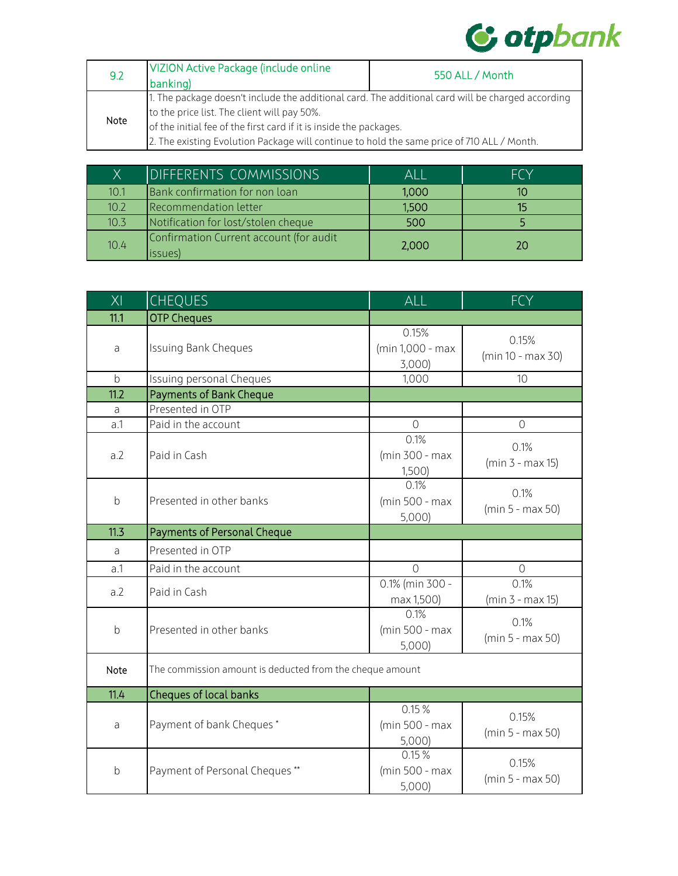

| 9.2  | <b>VIZION Active Package (include online</b><br>banking)                                                                                         | 550 ALL / Month |  |
|------|--------------------------------------------------------------------------------------------------------------------------------------------------|-----------------|--|
|      | 1. The package doesn't include the additional card. The additional card will be charged according<br>to the price list. The client will pay 50%. |                 |  |
| Note | of the initial fee of the first card if it is inside the packages.                                                                               |                 |  |
|      | 2. The existing Evolution Package will continue to hold the same price of 710 ALL / Month.                                                       |                 |  |

| Χ    | DIFFERENTS COMMISSIONS                             | Al I  | <b>FCY</b> |
|------|----------------------------------------------------|-------|------------|
| 10.1 | Bank confirmation for non loan                     | 1,000 |            |
| 10.2 | Recommendation letter                              | 1,500 |            |
| 10.3 | Notification for lost/stolen cheque                | 500   |            |
| 10.4 | Confirmation Current account (for audit<br>issues) | 2,000 | 20         |

| $\overline{\text{XI}}$ | <b>CHEQUES</b>                                           | ALL                                | <b>FCY</b>                 |
|------------------------|----------------------------------------------------------|------------------------------------|----------------------------|
| 11.1                   | <b>OTP Cheques</b>                                       |                                    |                            |
| a                      | <b>Issuing Bank Cheques</b>                              | 0.15%<br>(min 1,000 - max<br>3,000 | 0.15%<br>(min 10 - max 30) |
| $\mathsf b$            | Issuing personal Cheques                                 | 1,000                              | 10                         |
| 11.2                   | <b>Payments of Bank Cheque</b>                           |                                    |                            |
| a                      | Presented in OTP                                         |                                    |                            |
| a.1                    | Paid in the account                                      | $\overline{O}$                     | $\mathcal{O}$              |
| a.2                    | Paid in Cash                                             | 0.1%<br>(min 300 - max<br>1,500    | 0.1%<br>$(min 3 - max 15)$ |
| $\mathsf b$            | Presented in other banks                                 | 0.1%<br>(min 500 - max<br>5,000)   | 0.1%<br>(min 5 - max 50)   |
| 11.3                   | <b>Payments of Personal Cheque</b>                       |                                    |                            |
| a                      | Presented in OTP                                         |                                    |                            |
| a.1                    | Paid in the account                                      | $\bigcap$                          | $\Omega$                   |
| a.2                    | Paid in Cash                                             | 0.1% (min 300 -<br>max 1,500)      | 0.1%<br>(min 3 - max 15)   |
| b                      | Presented in other banks                                 | 0.1%<br>(min 500 - max<br>5,000    | 0.1%<br>(min 5 - max 50)   |
| Note                   | The commission amount is deducted from the cheque amount |                                    |                            |
| 11.4                   | Cheques of local banks                                   |                                    |                            |
| a                      | Payment of bank Cheques*                                 | 0.15%<br>(min 500 - max<br>5,000)  | 0.15%<br>(min 5 - max 50)  |
| b                      | Payment of Personal Cheques**                            | 0.15%<br>(min 500 - max<br>5,000)  | 0.15%<br>(min 5 - max 50)  |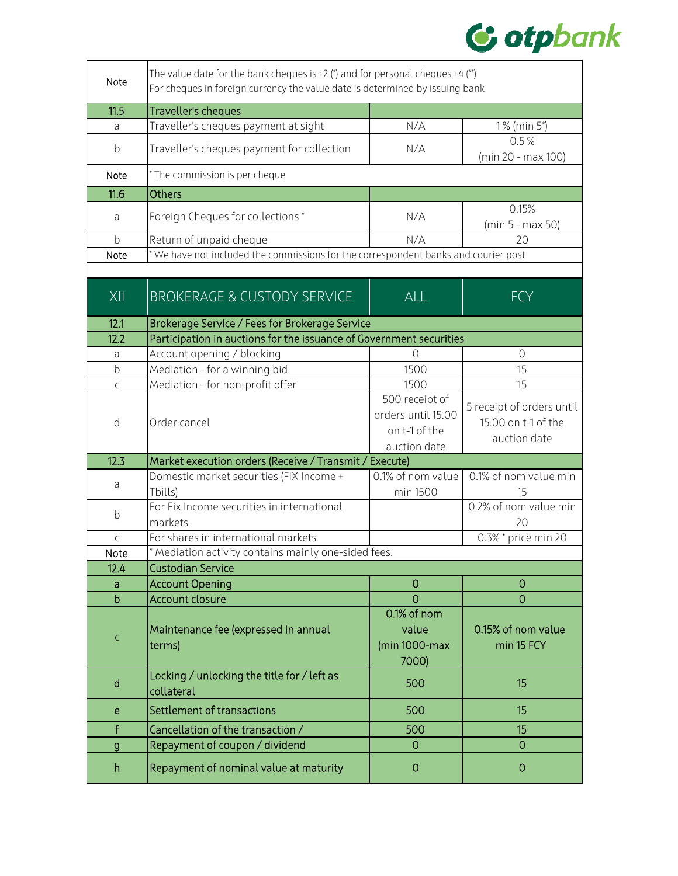

| Note                          | The value date for the bank cheques is +2 (*) and for personal cheques +4 (**)<br>For cheques in foreign currency the value date is determined by issuing bank |                                                         |                                                    |
|-------------------------------|----------------------------------------------------------------------------------------------------------------------------------------------------------------|---------------------------------------------------------|----------------------------------------------------|
| 11.5                          | Traveller's cheques                                                                                                                                            |                                                         |                                                    |
| a                             | Traveller's cheques payment at sight                                                                                                                           | N/A                                                     | 1% (min 5*)                                        |
| b                             | Traveller's cheques payment for collection                                                                                                                     | N/A                                                     | 0.5%<br>(min 20 - max 100)                         |
| Note                          | * The commission is per cheque                                                                                                                                 |                                                         |                                                    |
| 11.6                          | <b>Others</b>                                                                                                                                                  |                                                         |                                                    |
| a                             | Foreign Cheques for collections*                                                                                                                               | N/A                                                     | 0.15%<br>(min 5 - max 50)                          |
| $\mathsf b$                   | Return of unpaid cheque                                                                                                                                        | N/A                                                     | 20                                                 |
| Note                          | * We have not included the commissions for the correspondent banks and courier post                                                                            |                                                         |                                                    |
| $X$                           | <b>BROKERAGE &amp; CUSTODY SERVICE</b>                                                                                                                         | ALL                                                     | <b>FCY</b>                                         |
| 12.1<br>12.2                  | Brokerage Service / Fees for Brokerage Service<br>Participation in auctions for the issuance of Government securities                                          |                                                         |                                                    |
| a                             | Account opening / blocking                                                                                                                                     | 0                                                       | $\overline{O}$                                     |
| $\mathsf b$                   | Mediation - for a winning bid                                                                                                                                  | 1500                                                    | 15                                                 |
| $\mathsf{C}$                  | Mediation - for non-profit offer                                                                                                                               | 1500                                                    | 15                                                 |
| d                             | Order cancel                                                                                                                                                   | 500 receipt of<br>orders until 15.00                    | 5 receipt of orders until<br>15.00 on t-1 of the   |
|                               |                                                                                                                                                                | on t-1 of the<br>auction date                           | auction date                                       |
| 12.3                          | Market execution orders (Receive / Transmit / Execute)                                                                                                         |                                                         |                                                    |
| a                             | Domestic market securities (FIX Income +<br>Tbills)                                                                                                            | $\overline{0.1\%}$ of nom value<br>min 1500             | 0.1% of nom value min<br>15                        |
| b                             | For Fix Income securities in international<br>markets                                                                                                          |                                                         | 0.2% of nom value min<br>20                        |
| $\mathsf{C}$                  | For shares in international markets                                                                                                                            |                                                         | 0.3% * price min 20                                |
| Note                          | * Mediation activity contains mainly one-sided fees.                                                                                                           |                                                         |                                                    |
| 12.4                          | <b>Custodian Service</b>                                                                                                                                       |                                                         |                                                    |
| a                             | <b>Account Opening</b>                                                                                                                                         | $\overline{0}$                                          | $\overline{0}$                                     |
| $\mathbf b$<br>$\mathsf{C}$   | <b>Account closure</b><br>Maintenance fee (expressed in annual<br>terms)                                                                                       | $\overline{0}$<br>0.1% of nom<br>value<br>(min 1000-max | $\overline{0}$<br>0.15% of nom value<br>min 15 FCY |
| $\mathsf{d}$                  | Locking / unlocking the title for / left as<br>collateral                                                                                                      | 7000)<br>500                                            | 15                                                 |
| e                             | Settlement of transactions                                                                                                                                     | 500                                                     | 15                                                 |
|                               | Cancellation of the transaction /                                                                                                                              | 500                                                     | 15                                                 |
| $\mathsf f$<br>$\overline{g}$ | Repayment of coupon / dividend                                                                                                                                 | $\mathbf{O}$                                            | $\mathbf 0$                                        |